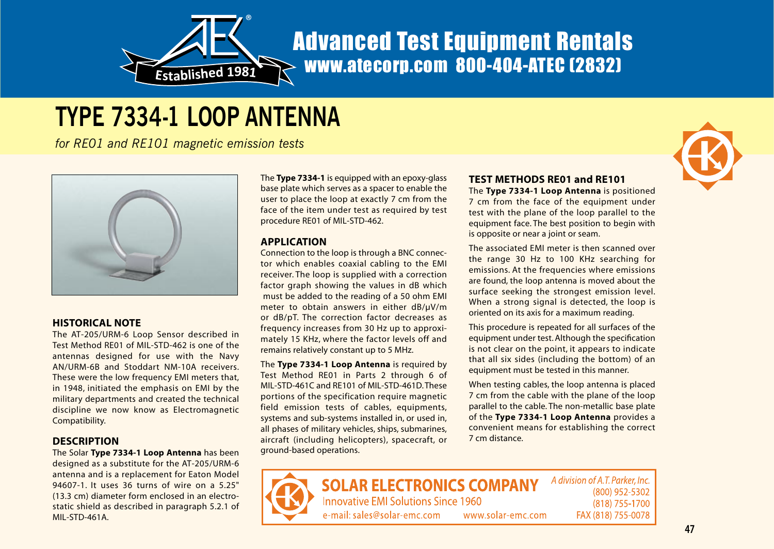

## Advanced Test Equipment Rentals www.atecorp.com 800-404-ATEC (2832)

# **TYPE 7334-1 LOOP ANTENNA**

*for RE01 and RE101 magnetic emission tests*



#### **HISTORICAL NOTE**

The AT-205/URM-6 Loop Sensor described in Test Method RE01 of MIL-STD-462 is one of theantennas designed for use with the Navy AN/URM-6B and Stoddart NM-10A receivers. These were the low frequency EMI meters that, in 1948, initiated the emphasis on EMI by the military departments and created the technical discipline we now know as Electromagnetic Compatibility.

#### **DESCRIPTION**

The Solar **Type 7334-1 Loop Antenna** has been designed as a substitute for the AT-205/URM-6 antenna and is a replacement for Eaton Model 94607-1. It uses 36 turns of wire on a 5.25"(13.3 cm) diameter form enclosed in an electrostatic shield as described in paragraph 5.2.1 of MIL-STD-461A.

The **Type 7334-1** is equipped with an epoxy-glass base plate which serves as a spacer to enable the user to place the loop at exactly 7 cm from the face of the item under test as required by test procedure RE01 of MIL-STD-462.

#### **APPLICATION**

Connection to the loop is through a BNC connector which enables coaxial cabling to the EMI receiver. The loop is supplied with a correction factor graph showing the values in dB which must be added to the reading of a 50 ohm EMI meter to obtain answers in either dB/µV/m or dB/pT. The correction factor decreases as frequency increases from 30 Hz up to approximately 15 KHz, where the factor levels off and remains relatively constant up to 5 MHz.

The **Type 7334-1 Loop Antenna** is required by Test Method RE01 in Parts 2 through 6 of MIL-STD-461C and RE101 of MIL-STD-461D.Theseportions of the specification require magnetic field emission tests of cables, equipments, systems and sub-systems installed in, or used in, all phases of military vehicles, ships, submarines, aircraft (including helicopters), spacecraft, or ground-based operations.

#### **TEST METHODS RE01 and RE101**

The **Type 7334-1 Loop Antenna** is positioned 7 cm from the face of the equipment under test with the plane of the loop parallel to the equipment face. The best position to begin with is opposite or near a joint or seam.

The associated EMI meter is then scanned overthe range 30 Hz to 100 KHz searching for emissions. At the frequencies where emissions are found, the loop antenna is moved about the surface seeking the strongest emission level. When a strong signal is detected, the loop is oriented on its axis for a maximum reading.

This procedure is repeated for all surfaces of the equipment under test. Although the specification is not clear on the point, it appears to indicate that all six sides (including the bottom) of an equipment must be tested in this manner.

When testing cables, the loop antenna is placed 7 cm from the cable with the plane of the loop parallel to the cable. The non-metallic base plate of the **Type 7334-1 Loop Antenna** provides a convenient means for establishing the correct 7 cm distance.



A division of A.T. Parker, Inc. **SOLAR ELECTRONICS COMPANY** (800) 952-5302 **Innovative EMI Solutions Since 1960** (818) 755-1700 e-mail: sales@solar-emc.com www.solar-emc.com FAX (818) 755-0078